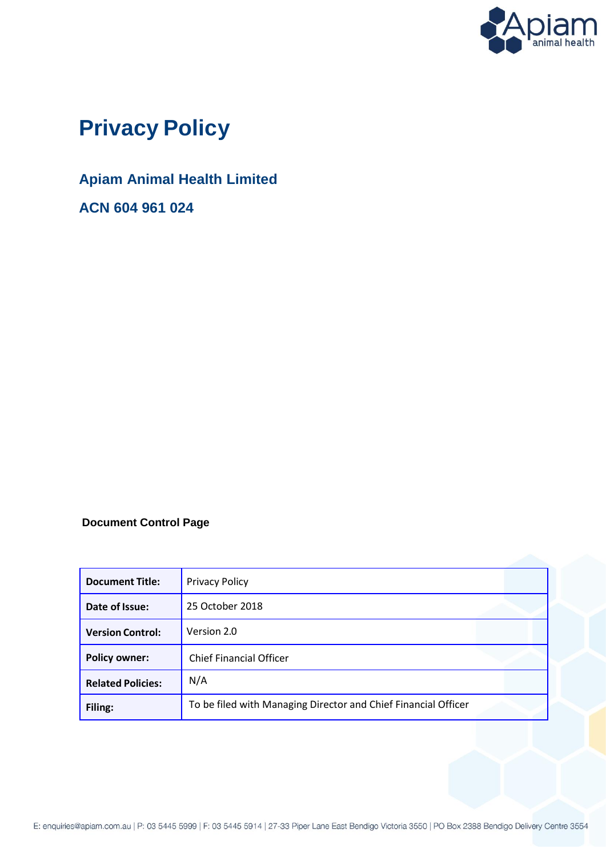

# **Privacy Policy**

## **Apiam Animal Health Limited**

**ACN 604 961 024**

### **Document Control Page**

| <b>Document Title:</b>   | <b>Privacy Policy</b>                                          |
|--------------------------|----------------------------------------------------------------|
| Date of Issue:           | 25 October 2018                                                |
| <b>Version Control:</b>  | Version 2.0                                                    |
| <b>Policy owner:</b>     | <b>Chief Financial Officer</b>                                 |
| <b>Related Policies:</b> | N/A                                                            |
| Filing:                  | To be filed with Managing Director and Chief Financial Officer |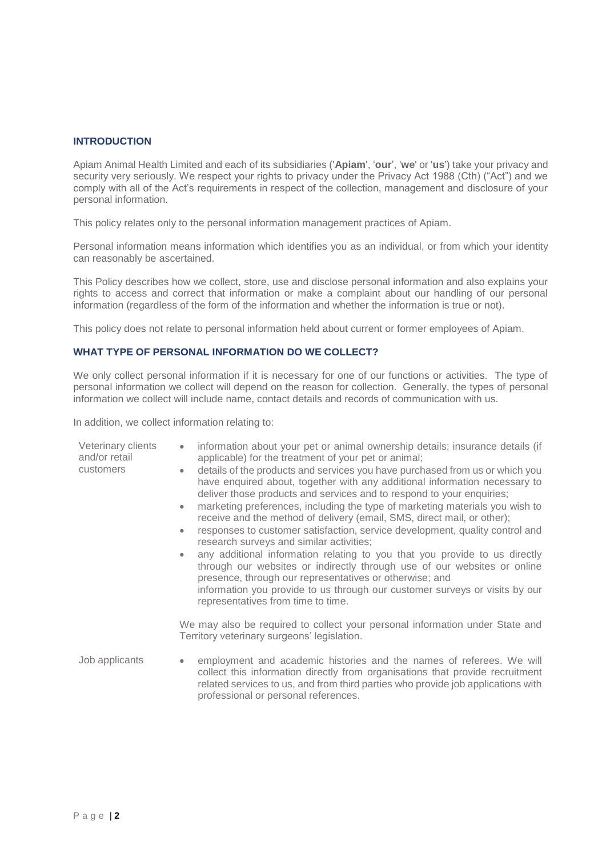#### **INTRODUCTION**

Apiam Animal Health Limited and each of its subsidiaries ('**Apiam**', '**our**', '**we**' or '**us**') take your privacy and security very seriously. We respect your rights to privacy under the Privacy Act 1988 (Cth) ("Act") and we comply with all of the Act's requirements in respect of the collection, management and disclosure of your personal information.

This policy relates only to the personal information management practices of Apiam.

Personal information means information which identifies you as an individual, or from which your identity can reasonably be ascertained.

This Policy describes how we collect, store, use and disclose personal information and also explains your rights to access and correct that information or make a complaint about our handling of our personal information (regardless of the form of the information and whether the information is true or not).

This policy does not relate to personal information held about current or former employees of Apiam.

#### **WHAT TYPE OF PERSONAL INFORMATION DO WE COLLECT?**

We only collect personal information if it is necessary for one of our functions or activities. The type of personal information we collect will depend on the reason for collection. Generally, the types of personal information we collect will include name, contact details and records of communication with us.

In addition, we collect information relating to:

| Veterinary clients<br>and/or retail<br>customers | information about your pet or animal ownership details; insurance details (if<br>$\bullet$<br>applicable) for the treatment of your pet or animal;<br>details of the products and services you have purchased from us or which you<br>۰<br>have enquired about, together with any additional information necessary to<br>deliver those products and services and to respond to your enquiries;<br>marketing preferences, including the type of marketing materials you wish to<br>$\bullet$<br>receive and the method of delivery (email, SMS, direct mail, or other);<br>responses to customer satisfaction, service development, quality control and<br>research surveys and similar activities; |
|--------------------------------------------------|----------------------------------------------------------------------------------------------------------------------------------------------------------------------------------------------------------------------------------------------------------------------------------------------------------------------------------------------------------------------------------------------------------------------------------------------------------------------------------------------------------------------------------------------------------------------------------------------------------------------------------------------------------------------------------------------------|
|                                                  | any additional information relating to you that you provide to us directly<br>through our websites or indirectly through use of our websites or online<br>presence, through our representatives or otherwise; and<br>information you provide to us through our customer surveys or visits by our<br>representatives from time to time.                                                                                                                                                                                                                                                                                                                                                             |
|                                                  | We may also be required to collect your personal information under State and<br>Territory veterinary surgeons' legislation.                                                                                                                                                                                                                                                                                                                                                                                                                                                                                                                                                                        |
| Job applicants                                   | employment and academic histories and the names of referees. We will<br>collect this information directly from organisations that provide recruitment<br>related services to us, and from third parties who provide job applications with<br>professional or personal references.                                                                                                                                                                                                                                                                                                                                                                                                                  |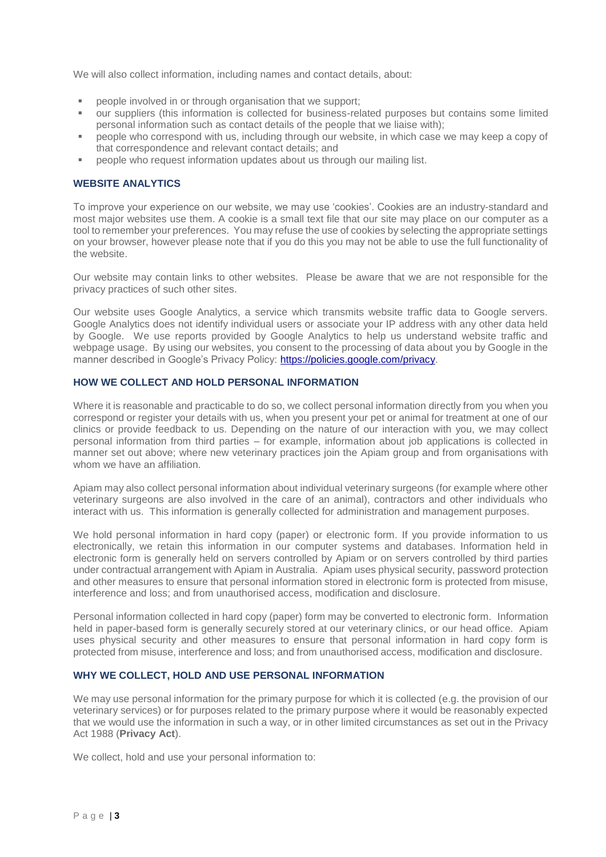We will also collect information, including names and contact details, about:

- people involved in or through organisation that we support;
- our suppliers (this information is collected for business-related purposes but contains some limited personal information such as contact details of the people that we liaise with);
- people who correspond with us, including through our website, in which case we may keep a copy of that correspondence and relevant contact details; and
- people who request information updates about us through our mailing list.

#### **WEBSITE ANALYTICS**

To improve your experience on our website, we may use 'cookies'. Cookies are an industry-standard and most major websites use them. A cookie is a small text file that our site may place on our computer as a tool to remember your preferences. You may refuse the use of cookies by selecting the appropriate settings on your browser, however please note that if you do this you may not be able to use the full functionality of the website.

Our website may contain links to other websites. Please be aware that we are not responsible for the privacy practices of such other sites.

Our website uses Google Analytics, a service which transmits website traffic data to Google servers. Google Analytics does not identify individual users or associate your IP address with any other data held by Google. We use reports provided by Google Analytics to help us understand website traffic and webpage usage. By using our websites, you consent to the processing of data about you by Google in the manner described in Google's Privacy Policy: [https://policies.google.com/privacy.](https://policies.google.com/privacy)

#### **HOW WE COLLECT AND HOLD PERSONAL INFORMATION**

Where it is reasonable and practicable to do so, we collect personal information directly from you when you correspond or register your details with us, when you present your pet or animal for treatment at one of our clinics or provide feedback to us. Depending on the nature of our interaction with you, we may collect personal information from third parties – for example, information about job applications is collected in manner set out above; where new veterinary practices join the Apiam group and from organisations with whom we have an affiliation.

Apiam may also collect personal information about individual veterinary surgeons (for example where other veterinary surgeons are also involved in the care of an animal), contractors and other individuals who interact with us. This information is generally collected for administration and management purposes.

We hold personal information in hard copy (paper) or electronic form. If you provide information to us electronically, we retain this information in our computer systems and databases. Information held in electronic form is generally held on servers controlled by Apiam or on servers controlled by third parties under contractual arrangement with Apiam in Australia. Apiam uses physical security, password protection and other measures to ensure that personal information stored in electronic form is protected from misuse, interference and loss; and from unauthorised access, modification and disclosure.

Personal information collected in hard copy (paper) form may be converted to electronic form. Information held in paper-based form is generally securely stored at our veterinary clinics, or our head office. Apiam uses physical security and other measures to ensure that personal information in hard copy form is protected from misuse, interference and loss; and from unauthorised access, modification and disclosure.

#### **WHY WE COLLECT, HOLD AND USE PERSONAL INFORMATION**

We may use personal information for the primary purpose for which it is collected (e.g. the provision of our veterinary services) or for purposes related to the primary purpose where it would be reasonably expected that we would use the information in such a way, or in other limited circumstances as set out in the Privacy Act 1988 (**Privacy Act**).

We collect, hold and use your personal information to: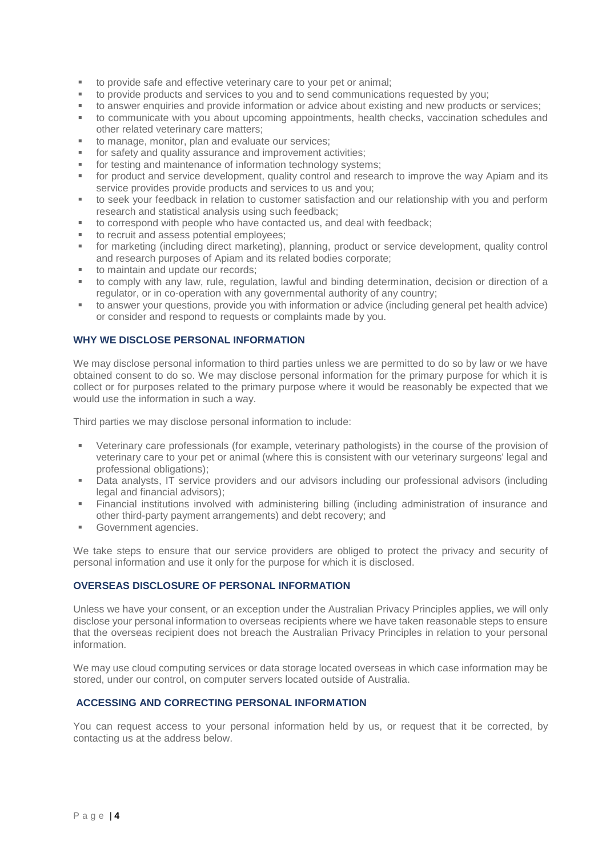- to provide safe and effective veterinary care to your pet or animal;
- to provide products and services to you and to send communications requested by you;
- to answer enquiries and provide information or advice about existing and new products or services;
- to communicate with you about upcoming appointments, health checks, vaccination schedules and other related veterinary care matters;
- to manage, monitor, plan and evaluate our services;
- for safety and quality assurance and improvement activities;
- for testing and maintenance of information technology systems;
- for product and service development, quality control and research to improve the way Apiam and its service provides provide products and services to us and you;
- to seek your feedback in relation to customer satisfaction and our relationship with you and perform research and statistical analysis using such feedback;
- to correspond with people who have contacted us, and deal with feedback;
- to recruit and assess potential employees;
- for marketing (including direct marketing), planning, product or service development, quality control and research purposes of Apiam and its related bodies corporate;
- to maintain and update our records:
- to comply with any law, rule, regulation, lawful and binding determination, decision or direction of a regulator, or in co-operation with any governmental authority of any country;
- to answer your questions, provide you with information or advice (including general pet health advice) or consider and respond to requests or complaints made by you.

#### **WHY WE DISCLOSE PERSONAL INFORMATION**

We may disclose personal information to third parties unless we are permitted to do so by law or we have obtained consent to do so. We may disclose personal information for the primary purpose for which it is collect or for purposes related to the primary purpose where it would be reasonably be expected that we would use the information in such a way.

Third parties we may disclose personal information to include:

- Veterinary care professionals (for example, veterinary pathologists) in the course of the provision of veterinary care to your pet or animal (where this is consistent with our veterinary surgeons' legal and professional obligations);
- Data analysts, IT service providers and our advisors including our professional advisors (including legal and financial advisors);
- Financial institutions involved with administering billing (including administration of insurance and other third-party payment arrangements) and debt recovery; and
- Government agencies.

We take steps to ensure that our service providers are obliged to protect the privacy and security of personal information and use it only for the purpose for which it is disclosed.

#### **OVERSEAS DISCLOSURE OF PERSONAL INFORMATION**

Unless we have your consent, or an exception under the Australian Privacy Principles applies, we will only disclose your personal information to overseas recipients where we have taken reasonable steps to ensure that the overseas recipient does not breach the Australian Privacy Principles in relation to your personal information.

We may use cloud computing services or data storage located overseas in which case information may be stored, under our control, on computer servers located outside of Australia.

#### **ACCESSING AND CORRECTING PERSONAL INFORMATION**

You can request access to your personal information held by us, or request that it be corrected, by contacting us at the address below.